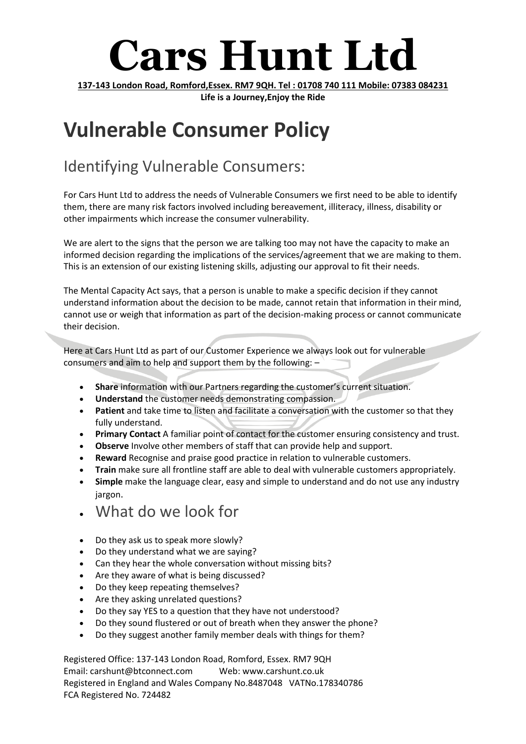# **Cars Hunt Ltd**

**137-143 London Road, Romford,Essex. RM7 9QH. Tel : 01708 740 111 Mobile: 07383 084231 Life is a Journey,Enjoy the Ride**

### **Vulnerable Consumer Policy**

### Identifying Vulnerable Consumers:

For Cars Hunt Ltd to address the needs of Vulnerable Consumers we first need to be able to identify them, there are many risk factors involved including bereavement, illiteracy, illness, disability or other impairments which increase the consumer vulnerability.

We are alert to the signs that the person we are talking too may not have the capacity to make an informed decision regarding the implications of the services/agreement that we are making to them. This is an extension of our existing listening skills, adjusting our approval to fit their needs.

The Mental Capacity Act says, that a person is unable to make a specific decision if they cannot understand information about the decision to be made, cannot retain that information in their mind, cannot use or weigh that information as part of the decision-making process or cannot communicate their decision.

Here at Cars Hunt Ltd as part of our Customer Experience we always look out for vulnerable consumers and aim to help and support them by the following: –

- **Share** information with our Partners regarding the customer's current situation.
- **Understand** the customer needs demonstrating compassion.
- **Patient** and take time to listen and facilitate a conversation with the customer so that they fully understand.
- **Primary Contact** A familiar point of contact for the customer ensuring consistency and trust.
- **Observe** Involve other members of staff that can provide help and support.
- **Reward** Recognise and praise good practice in relation to vulnerable customers.
- **Train** make sure all frontline staff are able to deal with vulnerable customers appropriately.
- **Simple** make the language clear, easy and simple to understand and do not use any industry jargon.
- What do we look for
- Do they ask us to speak more slowly?
- Do they understand what we are saying?
- Can they hear the whole conversation without missing bits?
- Are they aware of what is being discussed?
- Do they keep repeating themselves?
- Are they asking unrelated questions?
- Do they say YES to a question that they have not understood?
- Do they sound flustered or out of breath when they answer the phone?
- Do they suggest another family member deals with things for them?

Registered Office: 137-143 London Road, Romford, Essex. RM7 9QH Email: carshunt@btconnect.com Web: www.carshunt.co.uk Registered in England and Wales Company No.8487048 VATNo.178340786 FCA Registered No. 724482